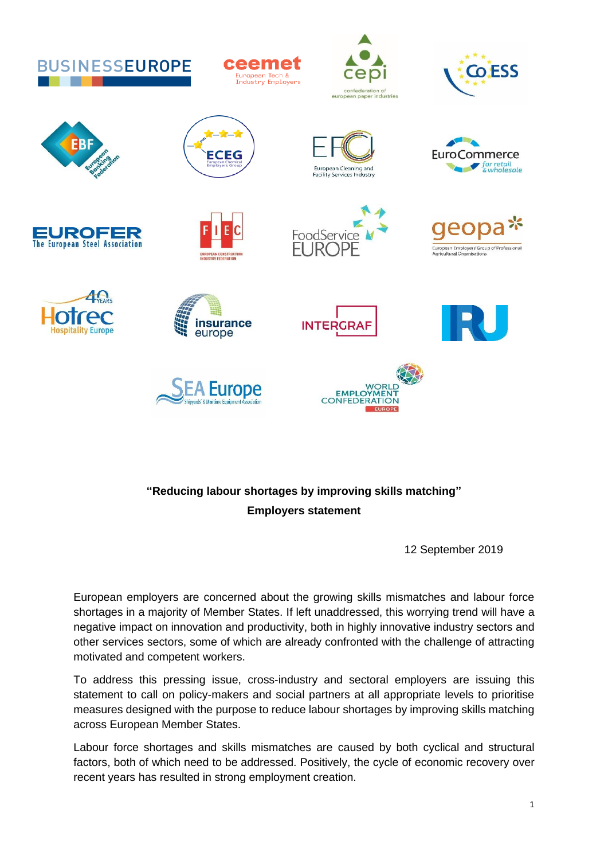

## **"Reducing labour shortages by improving skills matching" Employers statement**

12 September 2019

European employers are concerned about the growing skills mismatches and labour force shortages in a majority of Member States. If left unaddressed, this worrying trend will have a negative impact on innovation and productivity, both in highly innovative industry sectors and other services sectors, some of which are already confronted with the challenge of attracting motivated and competent workers.

To address this pressing issue, cross-industry and sectoral employers are issuing this statement to call on policy-makers and social partners at all appropriate levels to prioritise measures designed with the purpose to reduce labour shortages by improving skills matching across European Member States.

Labour force shortages and skills mismatches are caused by both cyclical and structural factors, both of which need to be addressed. Positively, the cycle of economic recovery over recent years has resulted in strong employment creation.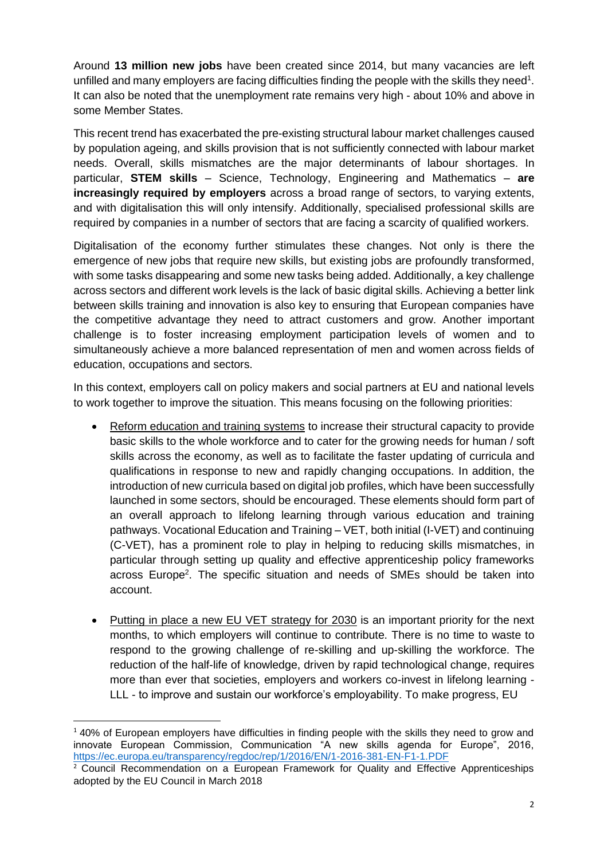Around **13 million new jobs** have been created since 2014, but many vacancies are left unfilled and many employers are facing difficulties finding the people with the skills they need<sup>1</sup>. It can also be noted that the unemployment rate remains very high - about 10% and above in some Member States.

This recent trend has exacerbated the pre-existing structural labour market challenges caused by population ageing, and skills provision that is not sufficiently connected with labour market needs. Overall, skills mismatches are the major determinants of labour shortages. In particular, **STEM skills** – Science, Technology, Engineering and Mathematics – **are increasingly required by employers** across a broad range of sectors, to varying extents, and with digitalisation this will only intensify. Additionally, specialised professional skills are required by companies in a number of sectors that are facing a scarcity of qualified workers.

Digitalisation of the economy further stimulates these changes. Not only is there the emergence of new jobs that require new skills, but existing jobs are profoundly transformed, with some tasks disappearing and some new tasks being added. Additionally, a key challenge across sectors and different work levels is the lack of basic digital skills. Achieving a better link between skills training and innovation is also key to ensuring that European companies have the competitive advantage they need to attract customers and grow. Another important challenge is to foster increasing employment participation levels of women and to simultaneously achieve a more balanced representation of men and women across fields of education, occupations and sectors.

In this context, employers call on policy makers and social partners at EU and national levels to work together to improve the situation. This means focusing on the following priorities:

- Reform education and training systems to increase their structural capacity to provide basic skills to the whole workforce and to cater for the growing needs for human / soft skills across the economy, as well as to facilitate the faster updating of curricula and qualifications in response to new and rapidly changing occupations. In addition, the introduction of new curricula based on digital job profiles, which have been successfully launched in some sectors, should be encouraged. These elements should form part of an overall approach to lifelong learning through various education and training pathways. Vocational Education and Training – VET, both initial (I-VET) and continuing (C-VET), has a prominent role to play in helping to reducing skills mismatches, in particular through setting up quality and effective apprenticeship policy frameworks across Europe<sup>2</sup>. The specific situation and needs of SMEs should be taken into account.
- Putting in place a new EU VET strategy for 2030 is an important priority for the next months, to which employers will continue to contribute. There is no time to waste to respond to the growing challenge of re-skilling and up-skilling the workforce. The reduction of the half-life of knowledge, driven by rapid technological change, requires more than ever that societies, employers and workers co-invest in lifelong learning - LLL - to improve and sustain our workforce's employability. To make progress, EU

 $140\%$  of European employers have difficulties in finding people with the skills they need to grow and innovate European Commission, Communication "A new skills agenda for Europe", 2016, <https://ec.europa.eu/transparency/regdoc/rep/1/2016/EN/1-2016-381-EN-F1-1.PDF>

<sup>2</sup> Council Recommendation on a European Framework for Quality and Effective Apprenticeships adopted by the EU Council in March 2018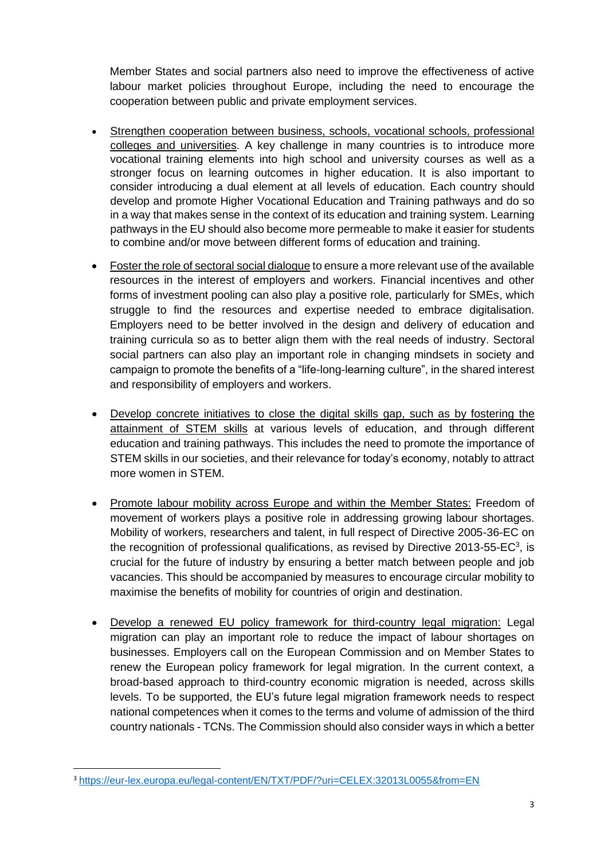Member States and social partners also need to improve the effectiveness of active labour market policies throughout Europe, including the need to encourage the cooperation between public and private employment services.

- Strengthen cooperation between business, schools, vocational schools, professional colleges and universities. A key challenge in many countries is to introduce more vocational training elements into high school and university courses as well as a stronger focus on learning outcomes in higher education. It is also important to consider introducing a dual element at all levels of education. Each country should develop and promote Higher Vocational Education and Training pathways and do so in a way that makes sense in the context of its education and training system. Learning pathways in the EU should also become more permeable to make it easier for students to combine and/or move between different forms of education and training.
- Foster the role of sectoral social dialogue to ensure a more relevant use of the available resources in the interest of employers and workers. Financial incentives and other forms of investment pooling can also play a positive role, particularly for SMEs, which struggle to find the resources and expertise needed to embrace digitalisation. Employers need to be better involved in the design and delivery of education and training curricula so as to better align them with the real needs of industry. Sectoral social partners can also play an important role in changing mindsets in society and campaign to promote the benefits of a "life-long-learning culture", in the shared interest and responsibility of employers and workers.
- Develop concrete initiatives to close the digital skills gap, such as by fostering the attainment of STEM skills at various levels of education, and through different education and training pathways. This includes the need to promote the importance of STEM skills in our societies, and their relevance for today's economy, notably to attract more women in STEM.
- Promote labour mobility across Europe and within the Member States: Freedom of movement of workers plays a positive role in addressing growing labour shortages. Mobility of workers, researchers and talent, in full respect of Directive 2005-36-EC on the recognition of professional qualifications, as revised by Directive 2013-55-EC $3$ , is crucial for the future of industry by ensuring a better match between people and job vacancies. This should be accompanied by measures to encourage circular mobility to maximise the benefits of mobility for countries of origin and destination.
- Develop a renewed EU policy framework for third-country legal migration: Legal migration can play an important role to reduce the impact of labour shortages on businesses. Employers call on the European Commission and on Member States to renew the European policy framework for legal migration. In the current context, a broad-based approach to third-country economic migration is needed, across skills levels. To be supported, the EU's future legal migration framework needs to respect national competences when it comes to the terms and volume of admission of the third country nationals - TCNs. The Commission should also consider ways in which a better

<sup>3</sup> <https://eur-lex.europa.eu/legal-content/EN/TXT/PDF/?uri=CELEX:32013L0055&from=EN>